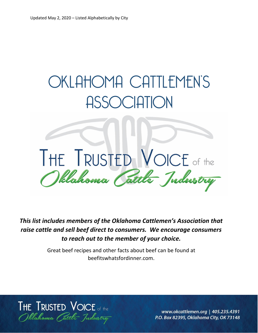# OKLAHOMA CATTLEMEN'S ASSOCIATION



*This list includes members of the Oklahoma Cattlemen's Association that raise cattle and sell beef direct to consumers. We encourage consumers to reach out to the member of your choice.*

> Great beef recipes and other facts about beef can be found at beefitswhatsfordinner.com.



www.okcattlemen.org | 405.235.4391 P.O. Box 82395, Oklahoma City, OK 73148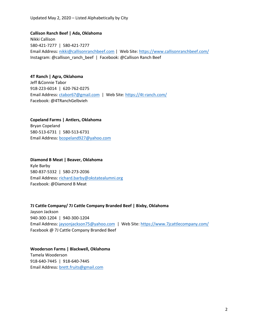**Callison Ranch Beef | Ada, Oklahoma** Nikki Callison 580-421-7277 | 580-421-7277 Email Address: [nikki@callisonranchbeef.com](mailto:nikki@callisonranchbeef.com) | Web Site:<https://www.callisonranchbeef.com/>

Instagram: @callison\_ranch\_beef | Facebook: @Callison Ranch Beef

### **4T Ranch | Agra, Oklahoma**

Jeff &Connie Tabor 918-223-6014 | 620-762-0275 Email Address: [ctabor67@gmail.com](mailto:ctabor67@gmail.com) | Web Site:<https://4t-ranch.com/> Facebook: @4TRanchGelbvieh

**Copeland Farms | Antlers, Oklahoma**

Bryan Copeland 580-513-6731 | 580-513-6731 Email Address: [bcopeland927@yahoo.com](mailto:bcopeland927@yahoo.com)

### **Diamond B Meat | Beaver, Oklahoma**

Kyle Barby 580-837-5332 | 580-273-2036 Email Address: [richard.barby@okstatealumni.org](mailto:richard.barby@okstatealumni.org) Facebook: @Diamond B Meat

**7J Cattle Company/ 7J Cattle Company Branded Beef | Bixby, Oklahoma** Jayson Jackson 940-300-1204 | 940-300-1204 Email Address: [jaysonjackson75@yahoo.com](mailto:jaysonjackson75@yahoo.com) | Web Site:<https://www.7jcattlecompany.com/> Facebook @ 7J Cattle Company Branded Beef

**Wooderson Farms | Blackwell, Oklahoma** Tamela Wooderson 918-640-7445 | 918-640-7445 Email Address: [brett.fruits@gmail.com](mailto:brett.fruits@gmail.com)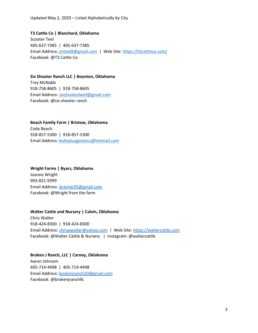**T3 Cattle Co | Blanchard, Oklahoma**

Scooter Teel 405-637-7385 | 405-637-7385 Email Address: [jmteel8@gmail.com](mailto:jmteel8@gmail.com) | Web Site:<https://t3cattleco.com/> Facebook: @T3 Cattle Co

### **Six Shooter Ranch LLC | Boynton, Oklahoma**

Trey McNabb 918-758-8605 | 918-758-8605 Email Address: [sixshooterbeef@gmail.com](mailto:sixshooterbeef@gmail.com) Facebook: @six shooter ranch

### **Beach Family Farm | Bristow, Oklahoma**

Cody Beach 918-857-5300 | 918-857-5300 Email Address: [bullsplusgenetics@hotmail.com](mailto:bullsplusgenetics@hotmail.com)

## **Wright Farms | Byars, Oklahoma**

Joanne Wright 903-821-9399 Email Address: [jkremer05@gmail.com](mailto:jkremer05@gmail.com) Facebook: @Wright from the farm

### **Walter Cattle and Nursery | Calvin, Oklahoma**

Chris Walter 918-424-8300 | 918-424-8300 Email Address: [chrispwalter@yahoo.com](mailto:chrispwalter@yahoo.com) | Web Site: [https://waltercattle.com](https://waltercattle.com/) Facebook: @Walter Cattle & Nursery | Instagram: @waltercattle

### **Broken J Ranch, LLC | Carney, Oklahoma** Aaron Johnson 405-714-4498 | 405-714-4498 Email Address: [brokenjranch20@gmail.com](mailto:brokenjranch20@gmail.com) Facebook: @brokenjranchllc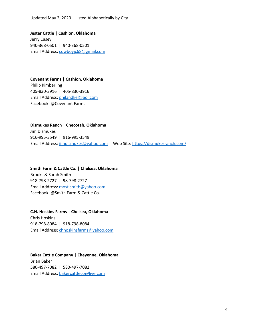**Jester Cattle | Cashion, Oklahoma** Jerry Casey 940-368-0501 | 940-368-0501 Email Address: [cowboyjc68@gmail.com](mailto:cowboyjc68@gmail.com)

**Covenant Farms | Cashion, Oklahoma** Philip Kimberling 405-830-3916 | 405-830-3916 Email Address: [philandkel@aol.com](mailto:philandkel@aol.com) Facebook: @Covenant Farms

**Dismukes Ranch | Checotah, Oklahoma** Jim Dismukes 916-995-3549 | 916-995-3549 Email Address: [jimdismukes@yahoo.com](mailto:jimdismukes@yahoo.com) | Web Site:<https://dismukesranch.com/>

**Smith Farm & Cattle Co. | Chelsea, Oklahoma** Brooks & Sarah Smith 918-798-2727 | 98-798-2727 Email Address: [most.smith@yahoo.com](mailto:most.smith@yahoo.com) Facebook: @Smith Farm & Cattle Co.

**C.H. Hoskins Farms | Chelsea, Oklahoma** Chris Hoskins 918-798-8084 | 918-798-8084 Email Address: [chhoskinsfarms@yahoo.com](mailto:chhoskinsfarms@yahoo.com)

**Baker Cattle Company | Cheyenne, Oklahoma** Brian Baker 580-497-7082 | 580-497-7082 Email Address: [bakercattleco@live.com](mailto:bakercattleco@live.com)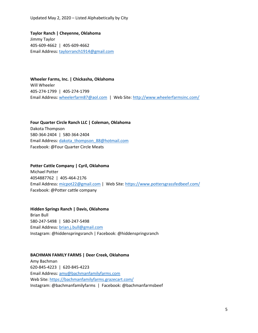**Taylor Ranch | Cheyenne, Oklahoma** Jimmy Taylor 405-609-4662 | 405-609-4662 Email Address: [taylorranch1914@gmail.com](mailto:taylorranch1914@gmail.com)

**Wheeler Farms, Inc. | Chickasha, Oklahoma** Will Wheeler 405-274-1799 | 405-274-1799 Email Address: [wheelerfarm87@aol.com](mailto:wheelerfarm87@aol.com) | Web Site:<http://www.wheelerfarmsinc.com/>

### **Four Quarter Circle Ranch LLC | Coleman, Oklahoma** Dakota Thompson 580-364-2404 | 580-364-2404 Email Address: [dakota\\_thompson\\_88@hotmail.com](mailto:dakota_thompson_88@hotmail.com) Facebook: @Four Quarter Circle Meats

### **Potter Cattle Company | Cyril, Oklahoma**

Michael Potter 4054887762 | 405-464-2176 Email Address: [micpot22@gmail.com](mailto:micpot22@gmail.com) | Web Site:<https://www.pottersgrassfedbeef.com/> Facebook: @Potter cattle company

### **Hidden Springs Ranch | Davis, Oklahoma**

Brian Bull 580-247-5498 | 580-247-5498 Email Address: [brian.j.bull@gmail.com](mailto:brian.j.bull@gmail.com) Instagram: @hiddenspringsranch | Facebook: @hiddenspringsranch

#### **BACHMAN FAMILY FARMS | Deer Creek, Oklahoma**

Amy Bachman 620-845-4223 | 620-845-4223 Email Address: [amy@bachmanfamilyfarms.com](mailto:amy@bachmanfamilyfarms.com) Web Site[: https://bachmanfamilyfarms.grazecart.com/](https://bachmanfamilyfarms.grazecart.com/) Instagram: @bachmanfamilyfarms | Facebook: @bachmanfarmsbeef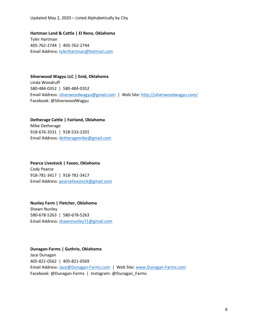**Hartman Land & Cattle | El Reno, Oklahoma** Tyler Hartman 405-762-2744 | 405-762-2744 Email Address: [tylerlhartman@hotmail.com](mailto:tylerlhartman@hotmail.com)

### **Silverwood Wagyu LLC | Enid, Oklahoma**

Linda Woodruff 580-484-0352 | 580-484-0352 Email Address: [silverwoodwagyu@gmail.com](mailto:silverwoodwagyu@gmail.com) | Web Site:<http://silverwoodwagyu.com/> Facebook: @SilverwoodWagyu

### **Detherage Cattle | Fairland, Oklahoma**

Mike Detherage 918-676-3531 | 918-533-2201 Email Address: [detheragemike@gmail.com](mailto:detheragemike@gmail.com)

### **Pearce Livestock | Faxon, Oklahoma** Cody Pearce 918-781-3417 | 918-781-3417 Email Address: [pearcelivestock@gmail.com](mailto:pearcelivestock@gmail.com)

# **Nunley Farm | Fletcher, Oklahoma** Shawn Nunley

580-678-5263 | 580-678-5263 Email Address: [shawnnunley71@gmail.com](mailto:shawnnunley71@gmail.com)

### **Dunagan-Farms | Guthrie, Oklahoma**

Jace Dunagan 405-821-0562 | 405-821-0569 Email Address: [Jace@Dunagan-Farms.com](mailto:Jace@Dunagan-Farms.com) | Web Site: [www.Dunagan-Farms.com](http://www.dunagan-farms.com/) Facebook: @Dunagan-Farms | Instagram: @Dunagan\_Farms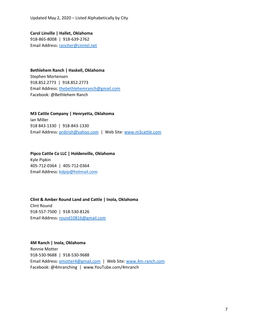**Carol Linville | Hallet, Oklahoma** 918-865-8008 | 918-639-2762 Email Address: [rancher@cimtel.net](mailto:rancher@cimtel.net)

**Bethlehem Ranch | Haskell, Oklahoma** Stephen Mortensen 918.852.2773 | 918.852.2773 Email Address: [thebethlehemranch@gmail.com](mailto:thebethlehemranch@gmail.com) Facebook: @Bethlehem Ranch

**M3 Cattle Company | Henryetta, Oklahoma** Ian Miller 918 843-1330 | 918-843-1330 Email Address: [prdirish@yahoo.com](mailto:prdirish@yahoo.com) | Web Site: [www.m3cattle.com](http://www.m3cattle.com/)

**Pipco Cattle Co LLC | Holdenville, Oklahoma** Kyle Pipkin 405-712-0364 | 405-712-0364 Email Address: [kdpip@hotmail.com](mailto:kdpip@hotmail.com)

**Clint & Amber Round Land and Cattle | Inola, Oklahoma** Clint Round 918-557-7500 | 918-530-8126 Email Address: [round10816@gmail.com](mailto:round10816@gmail.com)

**4M Ranch | Inola, Oklahoma** Ronnie Motter 918-530-9688 | 918-530-9688 Email Address: **emotter4@gmail.com** | Web Site[: www.4m-ranch.com](http://www.4m-ranch.com/) Facebook: @4mranching | www.YouTube.com/4mranch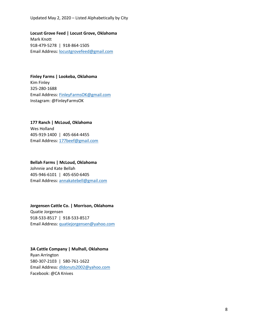**Locust Grove Feed | Locust Grove, Oklahoma** Mark Knott 918-479-5278 | 918-864-1505 Email Address: [locustgrovefeed@gmail.com](mailto:locustgrovefeed@gmail.com)

### **Finley Farms | Lookeba, Oklahoma**

Kim Finley 325-280-1688 Email Address: [FinleyFarmsOK@gmail.com](mailto:FinleyFarmsOK@gmail.com) Instagram: @FinleyFarmsOK

# **177 Ranch | McLoud, Oklahoma**

Wes Holland 405-919-1400 | 405-664-4455 Email Address: [177beef@gmail.com](mailto:177beef@gmail.com)

### **Bellah Farms | McLoud, Oklahoma**

Johnnie and Kate Bellah 405-946-6101 | 405-650-6405 Email Address: [annakatebell@gmail.com](mailto:annakatebell@gmail.com)

### **Jorgensen Cattle Co. | Morrison, Oklahoma**

Quatie Jorgensen 918-533-8517 | 918-533-8517 Email Address: [quatiejorgensen@yahoo.com](mailto:quatiejorgensen@yahoo.com)

### **3A Cattle Company | Mulhall, Oklahoma**

Ryan Arrington 580-307-2103 | 580-761-1622 Email Address: [dldonuts2002@yahoo.com](mailto:dldonuts2002@yahoo.com) Facebook: @CA Knives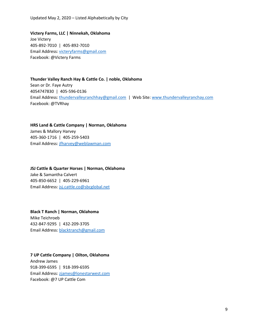**Victery Farms, LLC | Ninnekah, Oklahoma** Joe Victery 405-892-7010 | 405-892-7010 Email Address: [victeryfarms@gmail.com](mailto:victeryfarms@gmail.com) Facebook: @Victery Farms

**Thunder Valley Ranch Hay & Cattle Co. | noble, Oklahoma** Sean or Dr. Faye Autry 4054747830 | 405-596-0136 Email Address: [thundervalleyranchhay@gmail.com](mailto:thundervalleyranchhay@gmail.com) | Web Site: [www.thundervalleyranchay.com](http://www.thundervalleyranchay.com/) Facebook: @TVRhay

**HRS Land & Cattle Company | Norman, Oklahoma** James & Mallory Harvey 405-360-1716 | 405-259-5403 Email Address: [jfharvey@weblawman.com](mailto:jfharvey@weblawman.com)

**JSJ Cattle & Quarter Horses | Norman, Oklahoma** Jake & Samantha Calvert 405-850-6652 | 405-229-6961 Email Address: [jsj.cattle.co@sbcglobal.net](mailto:jsj.cattle.co@sbcglobal.net)

**Black T Ranch | Norman, Oklahoma** Mike Teichroeb 432-847-9295 | 432-209-3705 Email Address: [blacktranch@gmail.com](mailto:blacktranch@gmail.com)

**7 UP Cattle Company | Oilton, Oklahoma** Andrew James 918-399-6595 | 918-399-6595

Email Address: [zjames@lonestarwest.com](mailto:zjames@lonestarwest.com) Facebook: @7 UP Cattle Com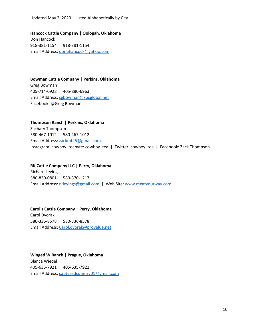**Hancock Cattle Company | Oologah, Oklahoma** Don Hancock 918-381-1154 | 918-381-1154 Email Address: [donbhancock@yahoo.com](mailto:donbhancock@yahoo.com)

**Bowman Cattle Company | Perkins, Oklahoma** Greg Bowman 405-714-0928 | 405-880-6963 Email Address: [sgbowman@sbcglobal.net](mailto:sgbowman@sbcglobal.net) Facebook: @Greg Bowman

### **Thompson Ranch | Perkins, Oklahoma**

Zachary Thompson 580-467-1012 | 580-467-1012 Email Address: [zackmt25@gmail.com](mailto:zackmt25@gmail.com) Instagram: cowboy\_teabyte: cowboy\_tea | Twitter: cowboy\_tea | Facebook: Zack Thompson

### **RK Cattle Company LLC | Perry, Oklahoma**

Richard Levings 580-830-0801 | 580-370-1217 Email Address: [rklevings@gmail.com](mailto:rklevings@gmail.com) | Web Site[: www.meatyourway.com](http://www.meatyourway.com/)

**Carol's Cattle Company | Perry, Oklahoma** Carol Dvorak

580-336-8578 | 580-336-8578 Email Address: [Carol.dvorak@provalue.net](mailto:Carol.dvorak@provalue.net)

**Winged W Ranch | Prague, Oklahoma** Blanca Wiedel 405-635-7921 | 405-635-7921 Email Address: [capturedcountry01@gmail.com](mailto:capturedcountry01@gmail.com)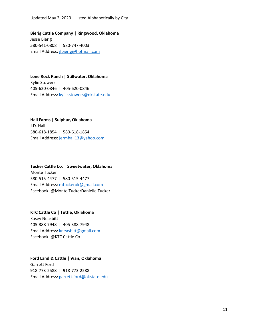**Bierig Cattle Company | Ringwood, Oklahoma** Jesse Bierig 580-541-0808 | 580-747-4003 Email Address: [jlbierig@hotmail.com](mailto:jlbierig@hotmail.com)

**Lone Rock Ranch | Stillwater, Oklahoma** Kylie Stowers 405-620-0846 | 405-620-0846 Email Address: [kylie.stowers@okstate.edu](mailto:kylie.stowers@okstate.edu)

**Hall Farms | Sulphur, Oklahoma** J.D. Hall 580-618-1854 | 580-618-1854 Email Address: [jermhall13@yahoo.com](mailto:jermhall13@yahoo.com)

**Tucker Cattle Co. | Sweetwater, Oklahoma** Monte Tucker 580-515-4477 | 580-515-4477 Email Address: [mtuckerok@gmail.com](mailto:mtuckerok@gmail.com) Facebook: @Monte TuckerDanielle Tucker

**KTC Cattle Co | Tuttle, Oklahoma** Kasey Neasbitt 405-388-7948 | 405-388-7948 Email Address: [kneasbitt@gmail.com](mailto:kneasbitt@gmail.com) Facebook: @KTC Cattle Co

**Ford Land & Cattle | Vian, Oklahoma** Garrett Ford 918-773-2588 | 918-773-2588 Email Address: [garrett.ford@okstate.edu](mailto:garrett.ford@okstate.edu)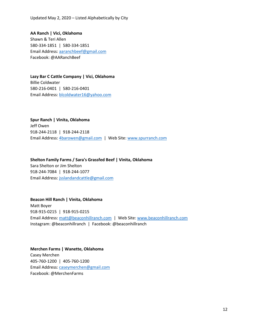**AA Ranch | Vici, Oklahoma** Shawn & Teri Allen 580-334-1851 | 580-334-1851 Email Address: [aaranchbeef@gmail.com](mailto:aaranchbeef@gmail.com) Facebook: @AARanchBeef

**Lazy Bar C Cattle Company | Vici, Oklahoma** Billie Coldwater 580-216-0401 | 580-216-0401 Email Address: [blcoldwater16@yahoo.com](mailto:blcoldwater16@yahoo.com)

### **Spur Ranch | Vinita, Oklahoma**

Jeff Owen 918-244-2118 | 918-244-2118 Email Address: [4barowen@gmail.com](mailto:4barowen@gmail.com) | Web Site[: www.spurranch.com](http://www.spurranch.com/)

### **Shelton Family Farms / Sara's Grassfed Beef | Vinita, Oklahoma**

Sara Shelton or Jim Shelton 918-244-7084 | 918-244-1077 Email Address: [jsslandandcattle@gmail.com](mailto:jsslandandcattle@gmail.com)

### **Beacon Hill Ranch | Vinita, Oklahoma**

Matt Boyer 918-915-0215 | 918-915-0215 Email Address: [matt@beaconhillranch.com](mailto:matt@beaconhillranch.com) | Web Site[: www.beaconhillranch.com](http://www.beaconhillranch.com/) Instagram: @beaconhillranch | Facebook: @beaconhillranch

### **Merchen Farms | Wanette, Oklahoma**

Casey Merchen 405-760-1200 | 405-760-1200 Email Address: [caseymerchen@gmail.com](mailto:caseymerchen@gmail.com) Facebook: @MerchenFarms